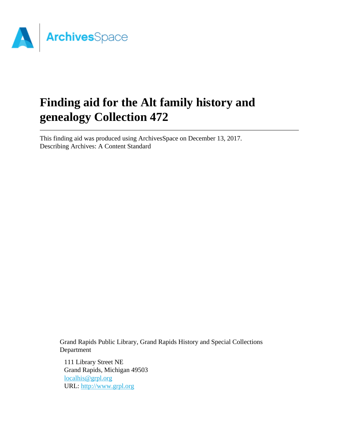

# **Finding aid for the Alt family history and genealogy Collection 472**

This finding aid was produced using ArchivesSpace on December 13, 2017. Describing Archives: A Content Standard

Grand Rapids Public Library, Grand Rapids History and Special Collections Department

111 Library Street NE Grand Rapids, Michigan 49503 [localhis@grpl.org](mailto:localhis@grpl.org) URL:<http://www.grpl.org>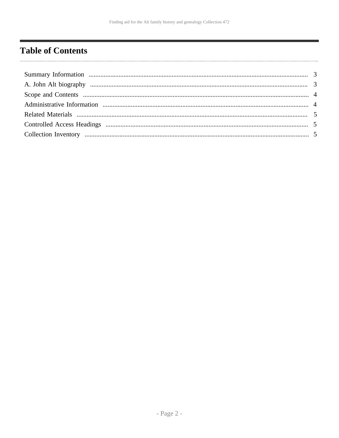# <span id="page-1-0"></span>**Table of Contents**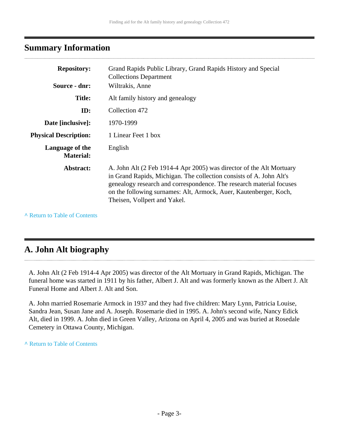### <span id="page-2-0"></span>**Summary Information**

| <b>Repository:</b>                  | Grand Rapids Public Library, Grand Rapids History and Special<br><b>Collections Department</b>                                                                                                                                                                                                                           |
|-------------------------------------|--------------------------------------------------------------------------------------------------------------------------------------------------------------------------------------------------------------------------------------------------------------------------------------------------------------------------|
| Source - dnr:                       | Wiltrakis, Anne                                                                                                                                                                                                                                                                                                          |
| <b>Title:</b>                       | Alt family history and genealogy                                                                                                                                                                                                                                                                                         |
| ID:                                 | Collection 472                                                                                                                                                                                                                                                                                                           |
| Date [inclusive]:                   | 1970-1999                                                                                                                                                                                                                                                                                                                |
| <b>Physical Description:</b>        | 1 Linear Feet 1 box                                                                                                                                                                                                                                                                                                      |
| Language of the<br><b>Material:</b> | English                                                                                                                                                                                                                                                                                                                  |
| Abstract:                           | A. John Alt (2 Feb 1914-4 Apr 2005) was director of the Alt Mortuary<br>in Grand Rapids, Michigan. The collection consists of A. John Alt's<br>genealogy research and correspondence. The research material focuses<br>on the following surnames: Alt, Armock, Auer, Kautenberger, Koch,<br>Theisen, Vollpert and Yakel. |

**^** [Return to Table of Contents](#page-1-0)

## <span id="page-2-1"></span>**A. John Alt biography**

A. John Alt (2 Feb 1914-4 Apr 2005) was director of the Alt Mortuary in Grand Rapids, Michigan. The funeral home was started in 1911 by his father, Albert J. Alt and was formerly known as the Albert J. Alt Funeral Home and Albert J. Alt and Son.

A. John married Rosemarie Armock in 1937 and they had five children: Mary Lynn, Patricia Louise, Sandra Jean, Susan Jane and A. Joseph. Rosemarie died in 1995. A. John's second wife, Nancy Edick Alt, died in 1999. A. John died in Green Valley, Arizona on April 4, 2005 and was buried at Rosedale Cemetery in Ottawa County, Michigan.

**^** [Return to Table of Contents](#page-1-0)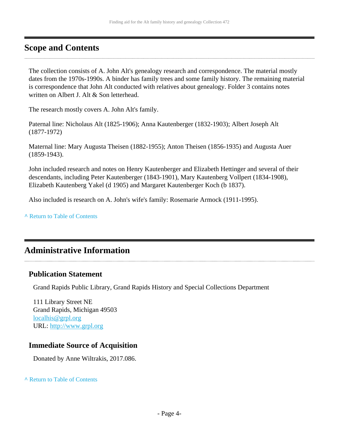### <span id="page-3-0"></span>**Scope and Contents**

The collection consists of A. John Alt's genealogy research and correspondence. The material mostly dates from the 1970s-1990s. A binder has family trees and some family history. The remaining material is correspondence that John Alt conducted with relatives about genealogy. Folder 3 contains notes written on Albert J. Alt & Son letterhead.

The research mostly covers A. John Alt's family.

Paternal line: Nicholaus Alt (1825-1906); Anna Kautenberger (1832-1903); Albert Joseph Alt (1877-1972)

Maternal line: Mary Augusta Theisen (1882-1955); Anton Theisen (1856-1935) and Augusta Auer (1859-1943).

John included research and notes on Henry Kautenberger and Elizabeth Hettinger and several of their descendants, including Peter Kautenberger (1843-1901), Mary Kautenberg Vollpert (1834-1908), Elizabeth Kautenberg Yakel (d 1905) and Margaret Kautenberger Koch (b 1837).

Also included is research on A. John's wife's family: Rosemarie Armock (1911-1995).

**^** [Return to Table of Contents](#page-1-0)

## <span id="page-3-1"></span>**Administrative Information**

#### **Publication Statement**

Grand Rapids Public Library, Grand Rapids History and Special Collections Department

111 Library Street NE Grand Rapids, Michigan 49503 [localhis@grpl.org](mailto:localhis@grpl.org) URL:<http://www.grpl.org>

#### **Immediate Source of Acquisition**

Donated by Anne Wiltrakis, 2017.086.

**^** [Return to Table of Contents](#page-1-0)